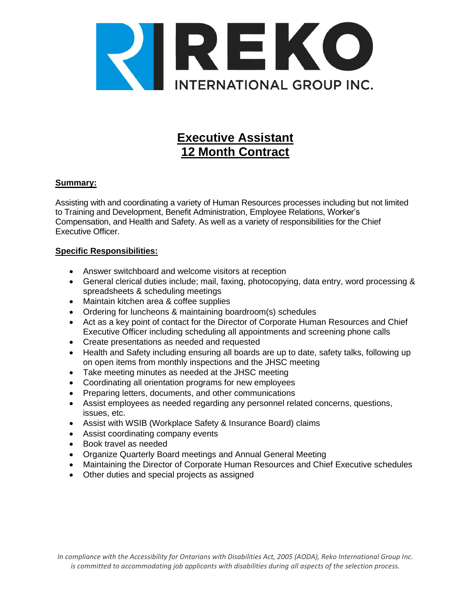

# **Executive Assistant 12 Month Contract**

## **Summary:**

Assisting with and coordinating a variety of Human Resources processes including but not limited to Training and Development, Benefit Administration, Employee Relations, Worker's Compensation, and Health and Safety. As well as a variety of responsibilities for the Chief Executive Officer.

## **Specific Responsibilities:**

- Answer switchboard and welcome visitors at reception
- General clerical duties include; mail, faxing, photocopying, data entry, word processing & spreadsheets & scheduling meetings
- Maintain kitchen area & coffee supplies
- Ordering for luncheons & maintaining boardroom(s) schedules
- Act as a key point of contact for the Director of Corporate Human Resources and Chief Executive Officer including scheduling all appointments and screening phone calls
- Create presentations as needed and requested
- Health and Safety including ensuring all boards are up to date, safety talks, following up on open items from monthly inspections and the JHSC meeting
- Take meeting minutes as needed at the JHSC meeting
- Coordinating all orientation programs for new employees
- Preparing letters, documents, and other communications
- Assist employees as needed regarding any personnel related concerns, questions, issues, etc.
- Assist with WSIB (Workplace Safety & Insurance Board) claims
- Assist coordinating company events
- Book travel as needed
- Organize Quarterly Board meetings and Annual General Meeting
- Maintaining the Director of Corporate Human Resources and Chief Executive schedules
- Other duties and special projects as assigned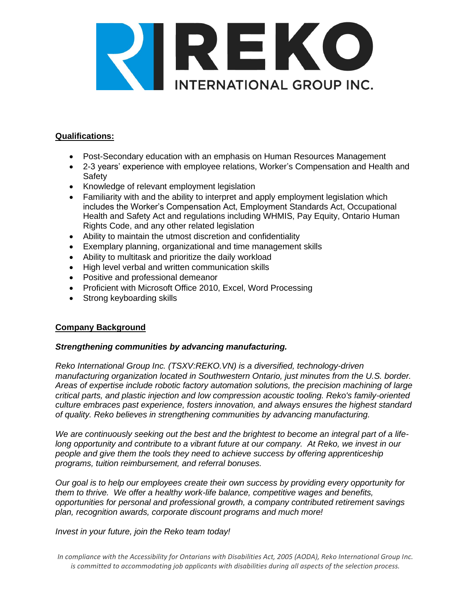

#### **Qualifications:**

- Post-Secondary education with an emphasis on Human Resources Management
- 2-3 years' experience with employee relations, Worker's Compensation and Health and Safety
- Knowledge of relevant employment legislation
- Familiarity with and the ability to interpret and apply employment legislation which includes the Worker's Compensation Act, Employment Standards Act, Occupational Health and Safety Act and regulations including WHMIS, Pay Equity, Ontario Human Rights Code, and any other related legislation
- Ability to maintain the utmost discretion and confidentiality
- Exemplary planning, organizational and time management skills
- Ability to multitask and prioritize the daily workload
- High level verbal and written communication skills
- Positive and professional demeanor
- Proficient with Microsoft Office 2010, Excel, Word Processing
- Strong keyboarding skills

## **Company Background**

## *Strengthening communities by advancing manufacturing.*

*Reko International Group Inc. (TSXV:REKO.VN) is a diversified, technology-driven manufacturing organization located in Southwestern Ontario, just minutes from the U.S. border. Areas of expertise include robotic factory automation solutions, the precision machining of large critical parts, and plastic injection and low compression acoustic tooling. Reko's family-oriented culture embraces past experience, fosters innovation, and always ensures the highest standard of quality. Reko believes in strengthening communities by advancing manufacturing.*

*We are continuously seeking out the best and the brightest to become an integral part of a lifelong opportunity and contribute to a vibrant future at our company. At Reko, we invest in our people and give them the tools they need to achieve success by offering apprenticeship programs, tuition reimbursement, and referral bonuses.* 

*Our goal is to help our employees create their own success by providing every opportunity for them to thrive. We offer a healthy work-life balance, competitive wages and benefits, opportunities for personal and professional growth, a company contributed retirement savings plan, recognition awards, corporate discount programs and much more!* 

*Invest in your future, join the Reko team today!*

*In compliance with the Accessibility for Ontarians with Disabilities Act, 2005 (AODA), Reko International Group Inc. is committed to accommodating job applicants with disabilities during all aspects of the selection process.*